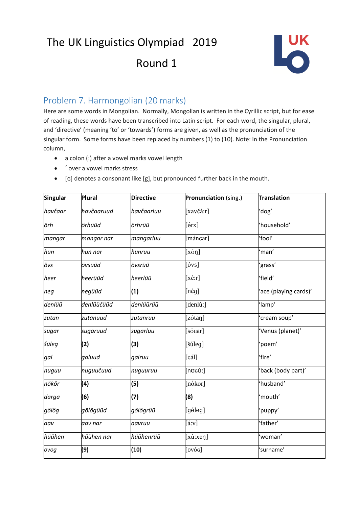# The UK Linguistics Olympiad 2019

## Round 1



### Problem 7. Harmongolian (20 marks)

Here are some words in Mongolian. Normally, Mongolian is written in the Cyrillic script, but for ease of reading, these words have been transcribed into Latin script. For each word, the singular, plural, and 'directive' (meaning 'to' or 'towards') forms are given, as well as the pronunciation of the singular form. Some forms have been replaced by numbers (1) to (10). Note: in the Pronunciation column,

- a colon (:) after a vowel marks vowel length
- ´ over a vowel marks stress
- [ɢ] denotes a consonant like [g], but pronounced further back in the mouth.

| <b>Singular</b> | <b>Plural</b> | <b>Directive</b> | Pronunciation (sing.)         | Translation           |
|-----------------|---------------|------------------|-------------------------------|-----------------------|
| havčaar         | havčaaruud    | havčaarluu       | [xavčá:r]                     | 'dog'                 |
| örh             | örhüüd        | örhrüü           | [6rx]                         | 'household'           |
| mangar          | mangar nar    | mangarluu        | [máncar]                      | 'fool'                |
| hun             | hun nar       | hunruu           | $[x$ ση]                      | 'man'                 |
| övs             | övsüüd        | övsrüü           | $\lceil 6 \text{vs} \rceil$   | 'grass'               |
| heer            | heerüüd       | heerlüü          | $[x \notin : r]$              | 'field'               |
| neg             | negüüd        | (1)              | [nég]                         | 'ace (playing cards)' |
| denlüü          | denlüüčüüd    | denlüürüü        | [denlú:]                      | 'lamp'                |
| zutan           | zutanuud      | zutanruu         | [zótaŋ]                       | 'cream soup'          |
| sugar           | sugaruud      | sugarluu         | [sócar]                       | 'Venus (planet)'      |
| šüleg           | (2)           | (3)              | [šúleg]                       | 'poem'                |
| gal             | galuud        | galruu           | $\lceil$ Gál]                 | 'fire'                |
| nuguu           | nuguučuud     | nuguuruu         | $[no$ có:]                    | 'back (body part)'    |
| nökör           | (4)           | (5)              | [nékor]                       | 'husband'             |
| darga           | (6)           | (7)              | (8)<br>'mouth'                |                       |
| gölög           | gölögüüd      | gölögrüü         | $[g\acute{e}$ leg]<br>'puppy' |                       |
| aav             | aav nar       | aavruu           | [4:V]                         | 'father'              |
| hüühen          | hüühen nar    | hüühenrüü        | $[x$ ú:xeŋ]<br>'woman'        |                       |
| ovog            | (9)           | (10)             | [ov6c]                        | 'surname'             |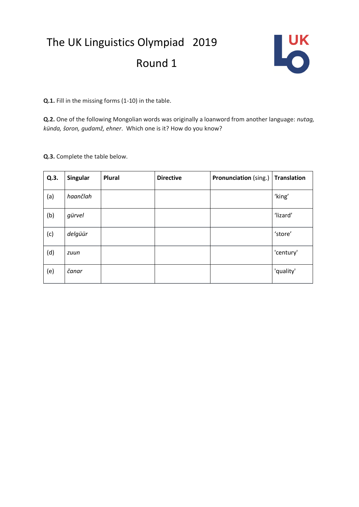## The UK Linguistics Olympiad 2019 Round 1



**Q.1.** Fill in the missing forms (1-10) in the table.

**Q.2.** One of the following Mongolian words was originally a loanword from another language: *nutag, künda, šoron, gudamž, ehner*. Which one is it? How do you know?

**Q.3.** Complete the table below.

| Q.3. | <b>Singular</b> | <b>Plural</b> | <b>Directive</b> | <b>Pronunciation</b> (sing.)   Translation |           |
|------|-----------------|---------------|------------------|--------------------------------------------|-----------|
| (a)  | haančlah        |               |                  |                                            | 'king'    |
| (b)  | gürvel          |               |                  |                                            | 'lizard'  |
| (c)  | delgüür         |               |                  |                                            | 'store'   |
| (d)  | zuun            |               |                  |                                            | 'century' |
| (e)  | čanar           |               |                  |                                            | 'quality' |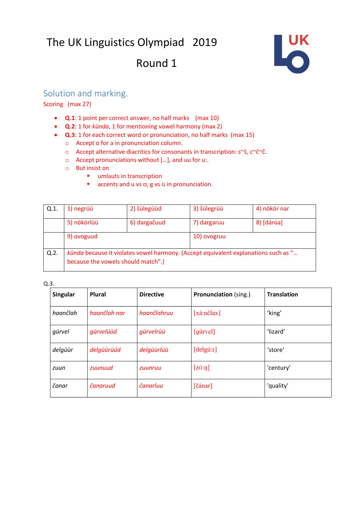## The UK Linguistics Olympiad 2019

### Round 1



#### Solution and marking.

#### Scoring (max 27)

- **Q.1**: 1 point per correct answer, no half marks (max 10)
- **Q.2**: 1 for *künda*, 1 for mentioning vowel harmony (max 2)
- **Q.3**: 1 for each correct word or pronunciation, no half marks (max 15)
	- o Accept ɑ for a in pronunciation column.
	- o Accept alternative diacritics for consonants in transcription: s~š, c~č~ĉ.
	- o Accept pronunciations without […], and uu for u:.
	- o But insist on
		- umlauts in transcription
		- accents and u vs ʊ, g vs G in pronunciation.

| Q.1. | 1) negrüü                                                                                                                | 2) šülegüüd  | 3) šülegrüü | 4) nökör nar |  |
|------|--------------------------------------------------------------------------------------------------------------------------|--------------|-------------|--------------|--|
|      | 5) nökörlüü                                                                                                              | 6) dargačuud | 7) dargaruu | 8) [dárga]   |  |
|      | 9) ovoguud                                                                                                               |              | 10) ovogruu |              |  |
| Q.2. | künda because it violates vowel harmony. (Accept equivalent explanations such as "<br>because the vowels should match".) |              |             |              |  |

Q.3.

| Singular | Plural       | <b>Directive</b> | <b>Pronunciation</b> (sing.) | <b>Translation</b> |
|----------|--------------|------------------|------------------------------|--------------------|
| haančlah | haančlah nar | haančlahruu      | $[x$ á:nč $[ax]$             | 'king'             |
| gürvel   | gürvelüüd    | gürvelrüü        | [qurvel]                     | 'lizard'           |
| delgüür  | delgüürüüd   | delgüürlüü       | [delay::r]                   | 'store'            |
| zuun     | zuunuud      | zuunruu          | $[z\acute{o}: \eta]$         | 'century'          |
| čanar    | čanaruud     | čanarluu         | [čánar]                      | 'quality'          |